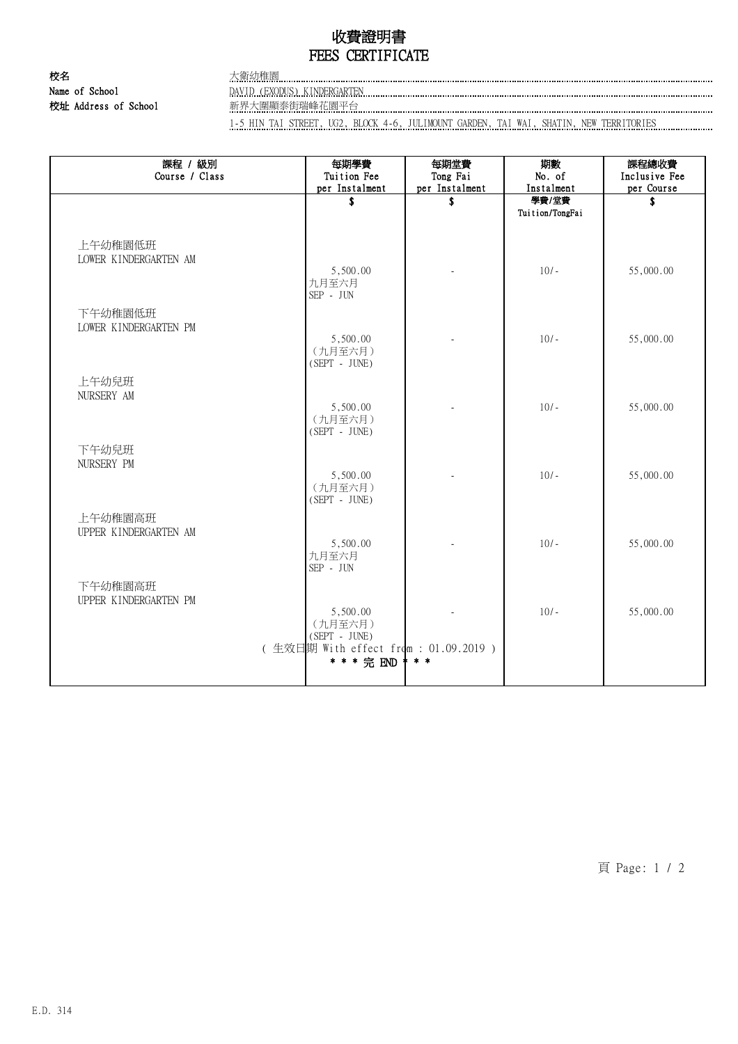# 收費證明書 FEES CERTIFICATE

校名 大衛幼稚園 校址 Address of School 新界大圍顯泰街瑞峰花園平台

Name of School **DAVID (EXODUS) KINDERGARTEN EXALLE CONSERVER CONSERVER CONSERVER CONSERVER CONSERVER CONSERVER CONSERVERS** 

1-5 HIN TAI STREET, UG2, BLOCK 4-6, JULIMOUNT GARDEN, TAI WAI, SHATIN, NEW TERRITORIES

| 課程 / 級別<br>Course / Class        | 每期學費<br>Tuition Fee                   | 每期堂費<br>Tong Fai     | 期數<br>No. of        | 課程總收費<br>Inclusive Fee |
|----------------------------------|---------------------------------------|----------------------|---------------------|------------------------|
|                                  | per Instalment<br>\$                  | per Instalment<br>\$ | Instalment<br>學費/堂費 | per Course<br>\$       |
|                                  |                                       |                      | Tuition/TongFai     |                        |
|                                  |                                       |                      |                     |                        |
| 上午幼稚園低班                          |                                       |                      |                     |                        |
| LOWER KINDERGARTEN AM            | 5,500.00                              |                      | $10/-$              | 55,000.00              |
|                                  | 九月至六月<br>$SEP$ - $JUN$                |                      |                     |                        |
| 下午幼稚園低班                          |                                       |                      |                     |                        |
| LOWER KINDERGARTEN PM            | 5,500.00                              |                      | $10/-$              | 55,000.00              |
|                                  | (九月至六月)                               |                      |                     |                        |
|                                  | $(SEPT - JUNE)$                       |                      |                     |                        |
| 上午幼兒班                            |                                       |                      |                     |                        |
| NURSERY AM                       | 5,500.00                              |                      | $10/-$              | 55,000.00              |
|                                  | (九月至六月)                               |                      |                     |                        |
|                                  | (SEPT - JUNE)                         |                      |                     |                        |
| 下午幼兒班                            |                                       |                      |                     |                        |
| NURSERY PM                       | 5,500.00                              |                      | $10/-$              | 55,000.00              |
|                                  | (九月至六月)                               |                      |                     |                        |
|                                  | (SEPT - JUNE)                         |                      |                     |                        |
| 上午幼稚園高班<br>UPPER KINDERGARTEN AM |                                       |                      |                     |                        |
|                                  | 5,500.00                              |                      | $10/-$              | 55,000.00              |
|                                  | 九月至六月<br>SEP - JUN                    |                      |                     |                        |
|                                  |                                       |                      |                     |                        |
| 下午幼稚園高班<br>UPPER KINDERGARTEN PM |                                       |                      |                     |                        |
|                                  | 5,500.00                              |                      | $10/-$              | 55,000.00              |
|                                  | (九月至六月)<br>(SEPT - JUNE)              |                      |                     |                        |
|                                  | (生效日期 With effect from : 01.09.2019 ) |                      |                     |                        |
|                                  | * * * 完 END                           | * * *                |                     |                        |
|                                  |                                       |                      |                     |                        |

頁 Page: 1 / 2